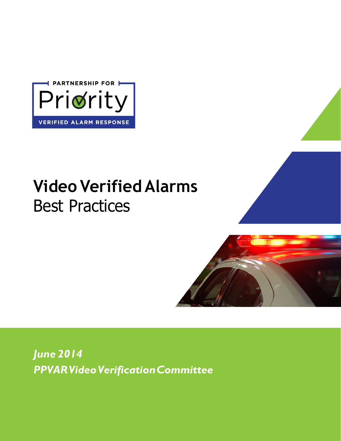

# **Video Verified Alarms** Best Practices



*June 2014 PPVAR Video Verification Committee*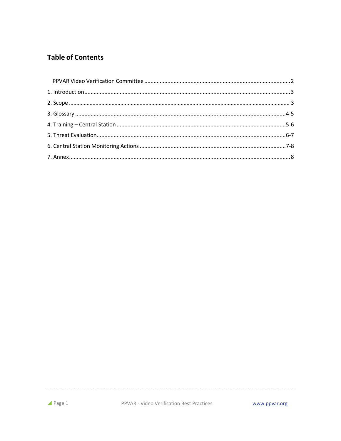# **Table of Contents**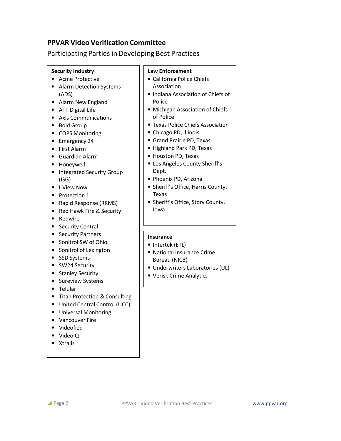# **PPVAR Video Verification Committee**

Participating Parties in Developing Best Practices

#### **Security Industry**

- Acme Protective
- Alarm Detection Systems (ADS)
- Alarm New England
- ATT Digital Life
- Axis Communications
- Bold Group
- COPS Monitoring
- Emergency 24
- First Alarm
- Guardian Alarm
- Honeywell
- Integrated Security Group (ISG)
- I-View Now
- Protection 1
- Rapid Response (RRMS)
- Red Hawk Fire & Security
- Redwire
- Security Central
- Security Partners
- Sonitrol SW of Ohio
- Sonitrol of Lexington
- SSD Systems
- SW24 Security
- Stanley Security
- Sureview Systems
- Telular
- Titan Protection & Consulting
- United Central Control (UCC)
- Universal Monitoring
- Vancouver Fire
- Videofied
- VideoIQ
- Xtralis

# **Law Enforcement**

- California Police Chiefs Association
- Indiana Association of Chiefs of Police
- Michigan Association of Chiefs of Police
- Texas Police Chiefs Association
- Chicago PD, Illinois
- Grand Prairie PD, Texas
- Highland Park PD, Texas
- Houston PD, Texas
- Los Angeles County Sheriff's Dept.
- Phoenix PD, Arizona
- Sheriff's Office, Harris County, Texas
- Sheriff's Office, Story County, Iowa

## **Insurance**

- Intertek (ETL)
- National Insurance Crime Bureau (NICB)
- Underwriters Laboratories (UL)
- Verisk Crime Analytics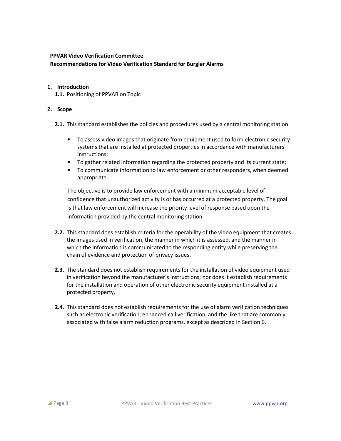# **PPVAR Video Verification Committee**

#### **Recommendations for Video Verification Standard for Burglar Alarms**

### **1. Introduction**

**1.1.** Positioning of PPVAR on Topic

# **2. Scope**

- **2.1.** This standard establishes the policies and procedures used by a central monitoring station:
	- To assess video images that originate from equipment used to form electronic security systems that are installed at protected properties in accordance with manufacturers' instructions;
	- To gather related information regarding the protected property and its current state;
	- To communicate information to law enforcement or other responders, when deemed appropriate.

The objective is to provide law enforcement with a minimum acceptable level of confidence that unauthorized activity is or has occurred at a protected property. The goal is that law enforcement will increase the priority level of response based upon the information provided by the central monitoring station.

- **2.2.** This standard does establish criteria for the operability of the video equipment that creates the images used in verification, the manner in which it is assessed, and the manner in which the information is communicated to the responding entity while preserving the chain of evidence and protection of privacy issues.
- **2.3.** The standard does not establish requirements for the installation of video equipment used in verification beyond the manufacturer's instructions; nor does it establish requirements for the installation and operation of other electronic security equipment installed at a protected property.
- **2.4.** This standard does not establish requirements for the use of alarm verification techniques such as electronic verification, enhanced call verification, and the like that are commonly associated with false alarm reduction programs, except as described in Section 6.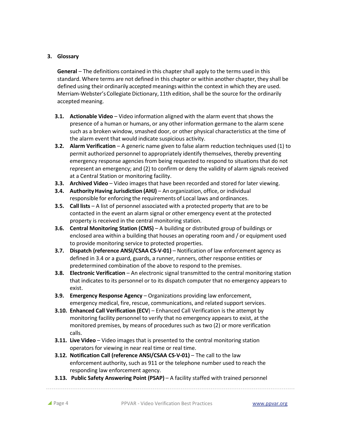#### **3. Glossary**

**General** – The definitions contained in this chapter shall apply to the terms used in this standard. Where terms are not defined in this chapter or within another chapter, they shall be defined using their ordinarily accepted meanings within the context in which they are used. Merriam-Webster's Collegiate Dictionary, 11th edition, shall be the source for the ordinarily accepted meaning.

- **3.1. Actionable Video**  Video information aligned with the alarm event that shows the presence of a human or humans, or any other information germane to the alarm scene such as a broken window, smashed door, or other physical characteristics at the time of the alarm event that would indicate suspicious activity.
- **3.2. Alarm Verification**  A generic name given to false alarm reduction techniques used (1) to permit authorized personnel to appropriately identify themselves, thereby preventing emergency response agencies from being requested to respond to situations that do not represent an emergency; and (2) to confirm or deny the validity of alarm signals received at a Central Station or monitoring facility.
- **3.3. Archived Video**  Video images that have been recorded and stored for later viewing.
- **3.4. Authority Having Jurisdiction (AHJ)**  An organization, office, or individual responsible for enforcing the requirements of Local laws and ordinances.
- **3.5. Call lists**  A list of personnel associated with a protected property that are to be contacted in the event an alarm signal or other emergency event at the protected property is received in the central monitoring station.
- **3.6. Central Monitoring Station (CMS)**  A building or distributed group of buildings or enclosed area within a building that houses an operating room and / or equipment used to provide monitoring service to protected properties.
- **3.7. Dispatch (reference ANSI/CSAA CS-V-01)**  Notification of law enforcement agency as defined in 3.4 or a guard, guards, a runner, runners, other response entities or predetermined combination of the above to respond to the premises.
- **3.8. Electronic Verification** An electronic signal transmitted to the central monitoring station that indicates to its personnel or to its dispatch computer that no emergency appears to exist.
- **3.9. Emergency Response Agency**  Organizations providing law enforcement, emergency medical, fire, rescue, communications, and related support services.
- **3.10. Enhanced Call Verification (ECV**) Enhanced Call Verification is the attempt by monitoring facility personnel to verify that no emergency appears to exist, at the monitored premises, by means of procedures such as two (2) or more verification calls.
- **3.11. Live Video**  Video images that is presented to the central monitoring station operators for viewing in near real time or real time.
- **3.12. Notification Call (reference ANSI/CSAA CS-V-01) The call to the law** enforcement authority, such as 911 or the telephone number used to reach the responding law enforcement agency.
- **3.13. Public Safety Answering Point (PSAP) A facility staffed with trained personnel**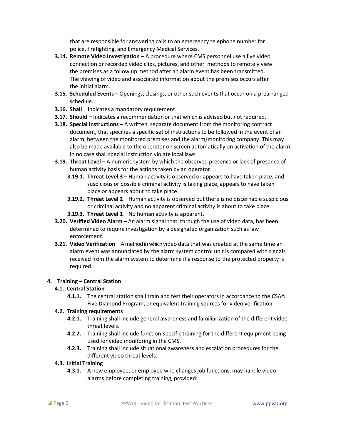that are responsible for answering calls to an emergency telephone number for police, firefighting, and Emergency Medical Services.

- **3.14. Remote Video Investigation**  A procedure where CMS personnel use a live video connection or recorded video clips, pictures, and other methods to remotely view the premises as a follow up method after an alarm event has been transmitted. The viewing of video and associated information about the premises occurs after the initial alarm.
- **3.15. Scheduled Events**  Openings, closings, or other such events that occur on a prearranged schedule.
- **3.16. Shall Indicates a mandatory requirement.**
- **3.17. Should**  Indicates a recommendation or that which is advised but not required.
- **3.18. Special Instructions**  A written, separate document from the monitoring contract document, that specifies a specific set of instructions to be followed in the event of an alarm, between the monitored premises and the alarm/monitoring company. This may also be made available to the operator on screen automatically on activation of the alarm. In no case shall special instruction violate local laws.
- **3.19. Threat Level**  A numeric system by which the observed presence or lack of presence of human activity basis for the actions taken by an operator.
	- **3.19.1. Threat Level 3** Human activity is observed or appears to have taken place, and suspicious or possible criminal activity is taking place, appears to have taken place or appears about to take place.
	- **3.19.2. Threat Level 2**  Human activity is observed but there is no discernable suspicious or criminal activity and no apparent criminal activity is about to take place.
	- **3.19.3. Threat Level 1**  No human activity is apparent.
- **3.20. Verified Video Alarm**  An alarm signal that, through the use of video data, has been determined to require investigation by a designated organization such as law enforcement.
- **3.21. Video Verification A method in which video data that was created at the same time an** alarm event was annunciated by the alarm system control unit is compared with signals received from the alarm system to determine if a response to the protected property is required.

#### **4. Training – Central Station**

#### **4.1. Central Station**

**4.1.1.** The central station shall train and test their operators in accordance to the CSAA Five Diamond Program, or equivalent training sources for video verification.

#### **4.2. Training requirements**

- **4.2.1.** Training shall include general awareness and familiarization of the different video threat levels.
- **4.2.2.** Training shall include function-specific training for the different equipment being used for video monitoring in the CMS.
- **4.2.3.** Training shall include situational awareness and escalation procedures for the different video threat levels.

#### **4.3. Initial Training**

**4.3.1.** A new employee, or employee who changes job functions, may handle video alarms before completing training, provided: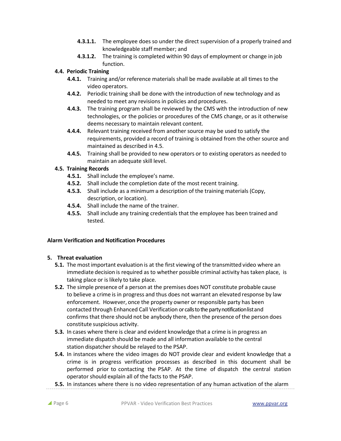- **4.3.1.1.** The employee does so under the direct supervision of a properly trained and knowledgeable staff member; and
- **4.3.1.2.** The training is completed within 90 days of employment or change in job function.

#### **4.4. Periodic Training**

- **4.4.1.** Training and/or reference materials shall be made available at all times to the video operators.
- **4.4.2.** Periodic training shall be done with the introduction of new technology and as needed to meet any revisions in policies and procedures.
- **4.4.3.** The training program shall be reviewed by the CMS with the introduction of new technologies, or the policies or procedures of the CMS change, or as it otherwise deems necessary to maintain relevant content.
- **4.4.4.** Relevant training received from another source may be used to satisfy the requirements, provided a record of training is obtained from the other source and maintained as described in 4.5.
- **4.4.5.** Training shall be provided to new operators or to existing operators as needed to maintain an adequate skill level.

#### **4.5. Training Records**

- **4.5.1.** Shall include the employee's name.
- **4.5.2.** Shall include the completion date of the most recent training.
- **4.5.3.** Shall include as a minimum a description of the training materials (Copy, description, or location).
- **4.5.4.** Shall include the name of the trainer.
- **4.5.5.** Shall include any training credentials that the employee has been trained and tested.

#### **Alarm Verification and Notification Procedures**

#### **5. Threat evaluation**

- **5.1.** The most important evaluation is at the first viewing of the transmitted video where an immediate decision is required as to whether possible criminal activity has taken place, is taking place or is likely to take place.
- **5.2.** The simple presence of a person at the premises does NOT constitute probable cause to believe a crime is in progress and thus does not warrant an elevated response by law enforcement. However, once the property owner or responsible party has been contacted through Enhanced Call Verification or calls tothe party notification list and confirms that there should not be anybody there, then the presence of the person does constitute suspicious activity.
- **5.3.** In cases where there is clear and evident knowledge that a crime is in progress an immediate dispatch should be made and all information available to the central station dispatcher should be relayed to the PSAP.
- **5.4.** In instances where the video images do NOT provide clear and evident knowledge that a crime is in progress verification processes as described in this document shall be performed prior to contacting the PSAP. At the time of dispatch the central station operator should explain all of the facts to the PSAP.
- **5.5.** In instances where there is no video representation of any human activation of the alarm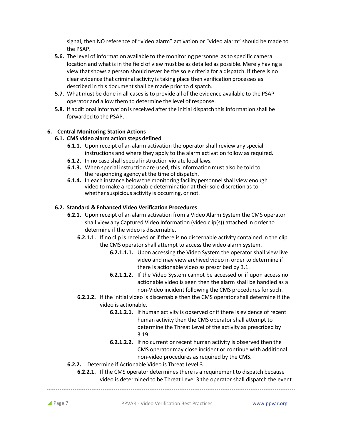signal, then NO reference of "video alarm" activation or "video alarm" should be made to the PSAP.

- **5.6.** The level of information available to the monitoring personnel as to specific camera location and what is in the field of view must be as detailed as possible. Merely having a view that shows a person should never be the sole criteria for a dispatch. If there is no clear evidence that criminal activity is taking place then verification processes as described in this document shall be made prior to dispatch.
- **5.7.** What must be done in all cases is to provide all of the evidence available to the PSAP operator and allow them to determine the level of response.
- **5.8.** If additional information is received after the initial dispatch this information shall be forwarded to the PSAP.

#### **6. Central Monitoring Station Actions**

#### **6.1. CMS video alarm action steps defined**

- **6.1.1.** Upon receipt of an alarm activation the operator shall review any special instructions and where they apply to the alarm activation follow as required.
- **6.1.2.** In no case shall special instruction violate local laws.
- **6.1.3.** When special instruction are used, this information must also be told to the responding agency at the time of dispatch.
- **6.1.4.** In each instance below the monitoring facility personnel shall view enough video to make a reasonable determination at their sole discretion as to whether suspicious activity is occurring, or not.

#### **6.2. Standard & Enhanced Video Verification Procedures**

- **6.2.1.** Upon receipt of an alarm activation from a Video Alarm System the CMS operator shall view any Captured Video Information (video clip(s)) attached in order to determine if the video is discernable.
	- **6.2.1.1.** If no clip is received or if there is no discernable activity contained in the clip the CMS operator shall attempt to access the video alarm system.
		- **6.2.1.1.1.** Upon accessing the Video System the operator shall view live video and may view archived video in order to determine if there is actionable video as prescribed by 3.1.
		- **6.2.1.1.2.** If the Video System cannot be accessed or if upon access no actionable video is seen then the alarm shall be handled as a non-Video incident following the CMS procedures for such.
	- **6.2.1.2.** If the initial video is discernable then the CMS operator shall determine if the video is actionable.
		- **6.2.1.2.1.** If human activity is observed or if there is evidence of recent human activity then the CMS operator shall attempt to determine the Threat Level of the activity as prescribed by 3.19.
		- **6.2.1.2.2.** If no current or recent human activity is observed then the CMS operator may close incident or continue with additional non-video procedures as required by the CMS.
- **6.2.2.** Determine if Actionable Video is Threat Level 3
	- **6.2.2.1.** If the CMS operator determines there is a requirement to dispatch because video is determined to be Threat Level 3 the operator shall dispatch the event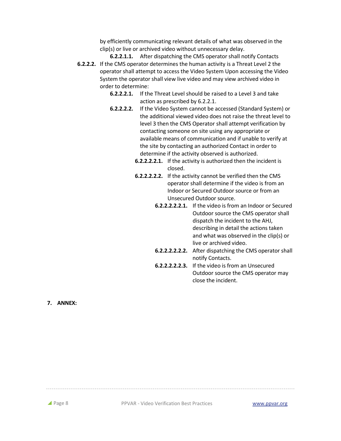by efficiently communicating relevant details of what was observed in the clip(s) or live or archived video without unnecessary delay.

**6.2.2.1.1.** After dispatching the CMS operator shall notify Contacts **6.2.2.2.** If the CMS operator determines the human activity is a Threat Level 2 the operator shall attempt to access the Video System Upon accessing the Video System the operator shall view live video and may view archived video in order to determine:

- **6.2.2.2.1.** If the Threat Level should be raised to a Level 3 and take action as prescribed by 6.2.2.1.
- **6.2.2.2.2.** If the Video System cannot be accessed (Standard System) or the additional viewed video does not raise the threat level to level 3 then the CMS Operator shall attempt verification by contacting someone on site using any appropriate or available means of communication and if unable to verify at the site by contacting an authorized Contact in order to determine if the activity observed is authorized.
	- **6.2.2.2.2.1.** If the activity is authorized then the incident is closed.
	- **6.2.2.2.2.2.** If the activity cannot be verified then the CMS operator shall determine if the video is from an Indoor or Secured Outdoor source or from an Unsecured Outdoor source.
		- **6.2.2.2.2.2.1.** If the video is from an Indoor or Secured Outdoor source the CMS operator shall dispatch the incident to the AHJ, describing in detail the actions taken and what was observed in the clip(s) or live or archived video.
		- **6.2.2.2.2.2.2.** After dispatching the CMS operator shall notify Contacts.
		- **6.2.2.2.2.2.3.** If the video is from an Unsecured Outdoor source the CMS operator may close the incident.

**7. ANNEX:**

**Page 8** PPVAR - Video Verification Best Practices www.ppvar.org